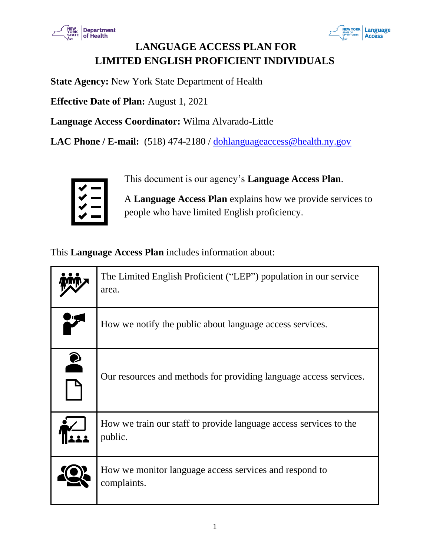



# **LANGUAGE ACCESS PLAN FOR LIMITED ENGLISH PROFICIENT INDIVIDUALS**

**State Agency:** New York State Department of Health

**Effective Date of Plan:** August 1, 2021

**Language Access Coordinator:** Wilma Alvarado-Little

LAC Phone / E-mail: (518) 474-2180 / [dohlanguageaccess@health.ny.gov](mailto:dohlanguageaccess@health.ny.gov)



This document is our agency's **Language Access Plan**.

A **Language Access Plan** explains how we provide services to people who have limited English proficiency.

This **Language Access Plan** includes information about:

|                    | The Limited English Proficient ("LEP") population in our service<br>area.    |
|--------------------|------------------------------------------------------------------------------|
|                    | How we notify the public about language access services.                     |
| $\mathbf{\hat{z}}$ | Our resources and methods for providing language access services.            |
|                    | How we train our staff to provide language access services to the<br>public. |
|                    | How we monitor language access services and respond to<br>complaints.        |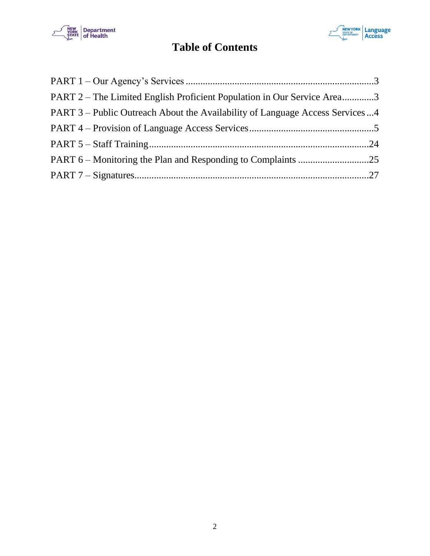



# **Table of Contents**

| PART 2 – The Limited English Proficient Population in Our Service Area3      |
|------------------------------------------------------------------------------|
| PART 3 – Public Outreach About the Availability of Language Access Services4 |
|                                                                              |
|                                                                              |
|                                                                              |
|                                                                              |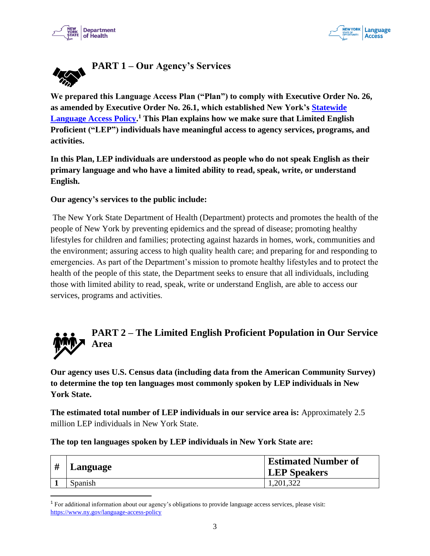



<span id="page-2-0"></span>

**We prepared this Language Access Plan ("Plan") to comply with Executive Order No. 26, as amended by Executive Order No. 26.1, which established New York's [Statewide](https://www.ny.gov/language-access-policy)  [Language Access Policy.](https://www.ny.gov/language-access-policy) <sup>1</sup> This Plan explains how we make sure that Limited English Proficient ("LEP") individuals have meaningful access to agency services, programs, and activities.**

**In this Plan, LEP individuals are understood as people who do not speak English as their primary language and who have a limited ability to read, speak, write, or understand English.** 

#### **Our agency's services to the public include:**

The New York State Department of Health (Department) protects and promotes the health of the people of New York by preventing epidemics and the spread of disease; promoting healthy lifestyles for children and families; protecting against hazards in homes, work, communities and the environment; assuring access to high quality health care; and preparing for and responding to emergencies. As part of the Department's mission to promote healthy lifestyles and to protect the health of the people of this state, the Department seeks to ensure that all individuals, including those with limited ability to read, speak, write or understand English, are able to access our services, programs and activities.



# <span id="page-2-1"></span>**PART 2 – The Limited English Proficient Population in Our Service Area**

**Our agency uses U.S. Census data (including data from the American Community Survey) to determine the top ten languages most commonly spoken by LEP individuals in New York State.** 

**The estimated total number of LEP individuals in our service area is:** Approximately 2.5 million LEP individuals in New York State.

**The top ten languages spoken by LEP individuals in New York State are:**

| # | Language | <b>Estimated Number of</b><br><b>LEP</b> Speakers |
|---|----------|---------------------------------------------------|
|   | Spanish  | 1,201,322                                         |

<sup>1</sup> For additional information about our agency's obligations to provide language access services, please visit: <https://www.ny.gov/language-access-policy>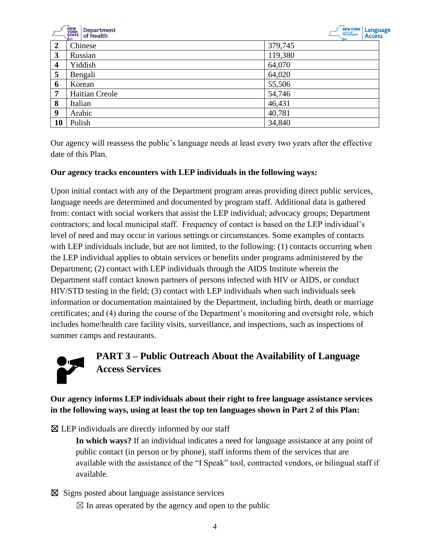



|                | ➤              | ≻       |
|----------------|----------------|---------|
| $\overline{2}$ | Chinese        | 379,745 |
| 3              | Russian        | 119,380 |
| 4              | Yiddish        | 64,070  |
| 5              | Bengali        | 64,020  |
| 6              | Korean         | 55,506  |
| 7              | Haitian Creole | 54,746  |
| 8              | Italian        | 46,431  |
| 9              | Arabic         | 40,781  |
| 10             | Polish         | 34,840  |

Our agency will reassess the public's language needs at least every two years after the effective date of this Plan.

#### **Our agency tracks encounters with LEP individuals in the following ways:**

Upon initial contact with any of the Department program areas providing direct public services, language needs are determined and documented by program staff. Additional data is gathered from: contact with social workers that assist the LEP individual; advocacy groups; Department contractors; and local municipal staff. Frequency of contact is based on the LEP individual's level of need and may occur in various settings or circumstances. Some examples of contacts with LEP individuals include, but are not limited, to the following: (1) contacts occurring when the LEP individual applies to obtain services or benefits under programs administered by the Department; (2) contact with LEP individuals through the AIDS Institute wherein the Department staff contact known partners of persons infected with HIV or AIDS, or conduct HIV/STD testing in the field; (3) contact with LEP individuals when such individuals seek information or documentation maintained by the Department, including birth, death or marriage certificates; and (4) during the course of the Department's monitoring and oversight role, which includes home/health care facility visits, surveillance, and inspections, such as inspections of summer camps and restaurants.



# <span id="page-3-0"></span>**PART 3 – Public Outreach About the Availability of Language Access Services**

# **Our agency informs LEP individuals about their right to free language assistance services in the following ways, using at least the top ten languages shown in Part 2 of this Plan:**

 $\boxtimes$  LEP individuals are directly informed by our staff

**In which ways?** If an individual indicates a need for language assistance at any point of public contact (in person or by phone), staff informs them of the services that are available with the assistance of the "I Speak" tool, contracted vendors, or bilingual staff if available.

- ☒ Signs posted about language assistance services
	- $\boxtimes$  In areas operated by the agency and open to the public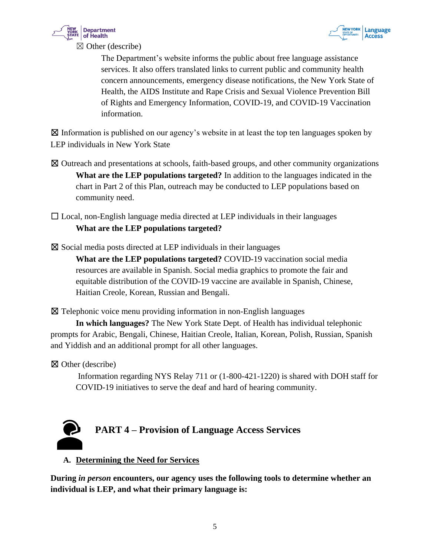



The Department's website informs the public about free language assistance services. It also offers translated links to current public and community health concern announcements, emergency disease notifications, the New York State of Health, the AIDS Institute and Rape Crisis and Sexual Violence Prevention Bill of Rights and Emergency Information, COVID-19, and COVID-19 Vaccination information.

 $\boxtimes$  Information is published on our agency's website in at least the top ten languages spoken by LEP individuals in New York State

☒ Outreach and presentations at schools, faith-based groups, and other community organizations **What are the LEP populations targeted?** In addition to the languages indicated in the chart in Part 2 of this Plan, outreach may be conducted to LEP populations based on community need.

 $\Box$  Local, non-English language media directed at LEP individuals in their languages **What are the LEP populations targeted?**

 $\boxtimes$  Social media posts directed at LEP individuals in their languages

**What are the LEP populations targeted?** COVID-19 vaccination social media resources are available in Spanish. Social media graphics to promote the fair and equitable distribution of the COVID-19 vaccine are available in Spanish, Chinese, Haitian Creole, Korean, Russian and Bengali.

☒ Telephonic voice menu providing information in non-English languages

**In which languages?** The New York State Dept. of Health has individual telephonic prompts for Arabic, Bengali, Chinese, Haitian Creole, Italian, Korean, Polish, Russian, Spanish and Yiddish and an additional prompt for all other languages.

☒ Other (describe)

Information regarding NYS Relay 711 or (1-800-421-1220) is shared with DOH staff for COVID-19 initiatives to serve the deaf and hard of hearing community.

<span id="page-4-0"></span>

# **A. Determining the Need for Services**

**During** *in person* **encounters, our agency uses the following tools to determine whether an individual is LEP, and what their primary language is:**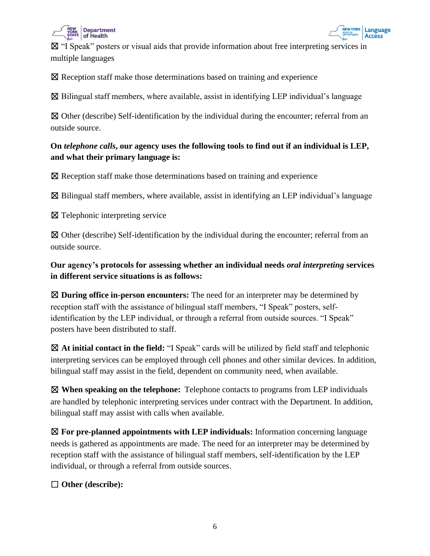

NEW YORK | Language Access

☒ "I Speak" posters or visual aids that provide information about free interpreting services in multiple languages

☒ Reception staff make those determinations based on training and experience

 $\boxtimes$  Bilingual staff members, where available, assist in identifying LEP individual's language

 $\boxtimes$  Other (describe) Self-identification by the individual during the encounter; referral from an outside source.

# **On** *telephone calls***, our agency uses the following tools to find out if an individual is LEP, and what their primary language is:**

☒ Reception staff make those determinations based on training and experience

 $\boxtimes$  Bilingual staff members, where available, assist in identifying an LEP individual's language

☒ Telephonic interpreting service

☒ Other (describe) Self-identification by the individual during the encounter; referral from an outside source.

**Our agency's protocols for assessing whether an individual needs** *oral interpreting* **services in different service situations is as follows:**

☒ **During office in-person encounters:** The need for an interpreter may be determined by reception staff with the assistance of bilingual staff members, "I Speak" posters, selfidentification by the LEP individual, or through a referral from outside sources. "I Speak" posters have been distributed to staff.

☒ **At initial contact in the field:** "I Speak" cards will be utilized by field staff and telephonic interpreting services can be employed through cell phones and other similar devices. In addition, bilingual staff may assist in the field, dependent on community need, when available.

☒ **When speaking on the telephone:** Telephone contacts to programs from LEP individuals are handled by telephonic interpreting services under contract with the Department. In addition, bilingual staff may assist with calls when available.

☒ **For pre-planned appointments with LEP individuals:** Information concerning language needs is gathered as appointments are made. The need for an interpreter may be determined by reception staff with the assistance of bilingual staff members, self-identification by the LEP individual, or through a referral from outside sources.

☐ **Other (describe):**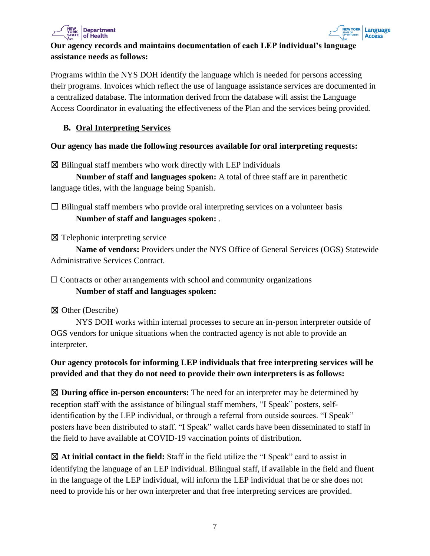



# **Our agency records and maintains documentation of each LEP individual's language assistance needs as follows:**

Programs within the NYS DOH identify the language which is needed for persons accessing their programs. Invoices which reflect the use of language assistance services are documented in a centralized database. The information derived from the database will assist the Language Access Coordinator in evaluating the effectiveness of the Plan and the services being provided.

#### **B. Oral Interpreting Services**

#### **Our agency has made the following resources available for oral interpreting requests:**

 $\boxtimes$  Bilingual staff members who work directly with LEP individuals

**Number of staff and languages spoken:** A total of three staff are in parenthetic language titles, with the language being Spanish.

 $\Box$  Bilingual staff members who provide oral interpreting services on a volunteer basis **Number of staff and languages spoken:** .

☒ Telephonic interpreting service

**Name of vendors:** Providers under the NYS Office of General Services (OGS) Statewide Administrative Services Contract.

 $\Box$  Contracts or other arrangements with school and community organizations **Number of staff and languages spoken:**

☒ Other (Describe)

NYS DOH works within internal processes to secure an in-person interpreter outside of OGS vendors for unique situations when the contracted agency is not able to provide an interpreter.

# **Our agency protocols for informing LEP individuals that free interpreting services will be provided and that they do not need to provide their own interpreters is as follows:**

☒ **During office in-person encounters:** The need for an interpreter may be determined by reception staff with the assistance of bilingual staff members, "I Speak" posters, selfidentification by the LEP individual, or through a referral from outside sources. "I Speak" posters have been distributed to staff. "I Speak" wallet cards have been disseminated to staff in the field to have available at COVID-19 vaccination points of distribution.

☒ **At initial contact in the field:** Staff in the field utilize the "I Speak" card to assist in identifying the language of an LEP individual. Bilingual staff, if available in the field and fluent in the language of the LEP individual, will inform the LEP individual that he or she does not need to provide his or her own interpreter and that free interpreting services are provided.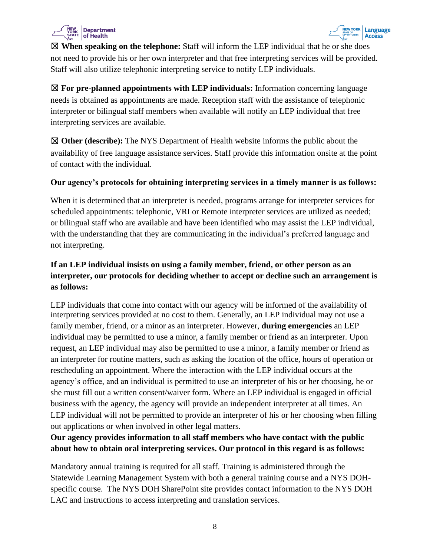



☒ **When speaking on the telephone:** Staff will inform the LEP individual that he or she does not need to provide his or her own interpreter and that free interpreting services will be provided. Staff will also utilize telephonic interpreting service to notify LEP individuals.

☒ **For pre-planned appointments with LEP individuals:** Information concerning language needs is obtained as appointments are made. Reception staff with the assistance of telephonic interpreter or bilingual staff members when available will notify an LEP individual that free interpreting services are available.

☒ **Other (describe):** The NYS Department of Health website informs the public about the availability of free language assistance services. Staff provide this information onsite at the point of contact with the individual.

#### **Our agency's protocols for obtaining interpreting services in a timely manner is as follows:**

When it is determined that an interpreter is needed, programs arrange for interpreter services for scheduled appointments: telephonic, VRI or Remote interpreter services are utilized as needed; or bilingual staff who are available and have been identified who may assist the LEP individual, with the understanding that they are communicating in the individual's preferred language and not interpreting.

# **If an LEP individual insists on using a family member, friend, or other person as an interpreter, our protocols for deciding whether to accept or decline such an arrangement is as follows:**

LEP individuals that come into contact with our agency will be informed of the availability of interpreting services provided at no cost to them. Generally, an LEP individual may not use a family member, friend, or a minor as an interpreter. However, **during emergencies** an LEP individual may be permitted to use a minor, a family member or friend as an interpreter. Upon request, an LEP individual may also be permitted to use a minor, a family member or friend as an interpreter for routine matters, such as asking the location of the office, hours of operation or rescheduling an appointment. Where the interaction with the LEP individual occurs at the agency's office, and an individual is permitted to use an interpreter of his or her choosing, he or she must fill out a written consent/waiver form. Where an LEP individual is engaged in official business with the agency, the agency will provide an independent interpreter at all times. An LEP individual will not be permitted to provide an interpreter of his or her choosing when filling out applications or when involved in other legal matters.

# **Our agency provides information to all staff members who have contact with the public about how to obtain oral interpreting services. Our protocol in this regard is as follows:**

Mandatory annual training is required for all staff. Training is administered through the Statewide Learning Management System with both a general training course and a NYS DOHspecific course. The NYS DOH SharePoint site provides contact information to the NYS DOH LAC and instructions to access interpreting and translation services.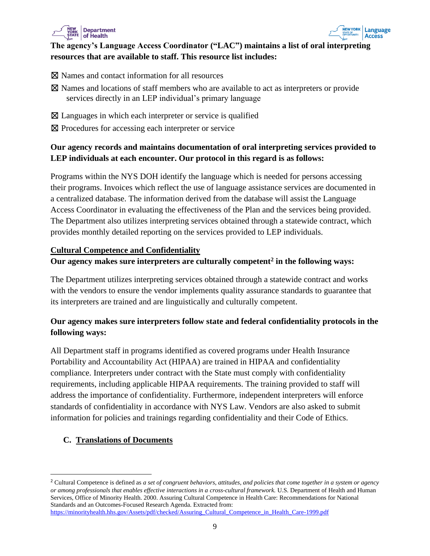



#### **The agency's Language Access Coordinator ("LAC") maintains a list of oral interpreting resources that are available to staff. This resource list includes:**

- ☒ Names and contact information for all resources
- ☒ Names and locations of staff members who are available to act as interpreters or provide services directly in an LEP individual's primary language
- $\boxtimes$  Languages in which each interpreter or service is qualified
- ⊠ Procedures for accessing each interpreter or service

# **Our agency records and maintains documentation of oral interpreting services provided to LEP individuals at each encounter. Our protocol in this regard is as follows:**

Programs within the NYS DOH identify the language which is needed for persons accessing their programs. Invoices which reflect the use of language assistance services are documented in a centralized database. The information derived from the database will assist the Language Access Coordinator in evaluating the effectiveness of the Plan and the services being provided. The Department also utilizes interpreting services obtained through a statewide contract, which provides monthly detailed reporting on the services provided to LEP individuals.

#### **Cultural Competence and Confidentiality**

#### **Our agency makes sure interpreters are culturally competent<sup>2</sup> in the following ways:**

The Department utilizes interpreting services obtained through a statewide contract and works with the vendors to ensure the vendor implements quality assurance standards to guarantee that its interpreters are trained and are linguistically and culturally competent.

# **Our agency makes sure interpreters follow state and federal confidentiality protocols in the following ways:**

All Department staff in programs identified as covered programs under Health Insurance Portability and Accountability Act (HIPAA) are trained in HIPAA and confidentiality compliance. Interpreters under contract with the State must comply with confidentiality requirements, including applicable HIPAA requirements. The training provided to staff will address the importance of confidentiality. Furthermore, independent interpreters will enforce standards of confidentiality in accordance with NYS Law. Vendors are also asked to submit information for policies and trainings regarding confidentiality and their Code of Ethics.

# **C. Translations of Documents**

<sup>2</sup> Cultural Competence is defined as *a set of congruent behaviors, attitudes, and policies that come together in a system or agency or among professionals that enables effective interactions in a cross-cultural framework.* U.S. Department of Health and Human Services, Office of Minority Health. 2000. Assuring Cultural Competence in Health Care: Recommendations for National Standards and an Outcomes-Focused Research Agenda. Extracted from: [https://minorityhealth.hhs.gov/Assets/pdf/checked/Assuring\\_Cultural\\_Competence\\_in\\_Health\\_Care-1999.pdf](https://minorityhealth.hhs.gov/Assets/pdf/checked/Assuring_Cultural_Competence_in_Health_Care-1999.pdf)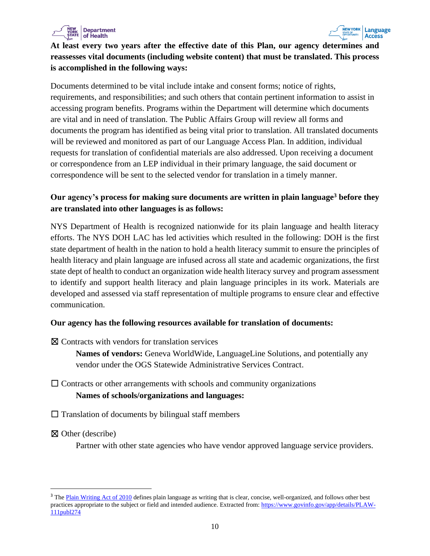



**At least every two years after the effective date of this Plan, our agency determines and reassesses vital documents (including website content) that must be translated. This process is accomplished in the following ways:**

Documents determined to be vital include intake and consent forms; notice of rights, requirements, and responsibilities; and such others that contain pertinent information to assist in accessing program benefits. Programs within the Department will determine which documents are vital and in need of translation. The Public Affairs Group will review all forms and documents the program has identified as being vital prior to translation. All translated documents will be reviewed and monitored as part of our Language Access Plan. In addition, individual requests for translation of confidential materials are also addressed. Upon receiving a document or correspondence from an LEP individual in their primary language, the said document or correspondence will be sent to the selected vendor for translation in a timely manner.

#### **Our agency's process for making sure documents are written in plain language<sup>3</sup> before they are translated into other languages is as follows:**

NYS Department of Health is recognized nationwide for its plain language and health literacy efforts. The NYS DOH LAC has led activities which resulted in the following: DOH is the first state department of health in the nation to hold a health literacy summit to ensure the principles of health literacy and plain language are infused across all state and academic organizations, the first state dept of health to conduct an organization wide health literacy survey and program assessment to identify and support health literacy and plain language principles in its work. Materials are developed and assessed via staff representation of multiple programs to ensure clear and effective communication.

#### **Our agency has the following resources available for translation of documents:**

☒ Contracts with vendors for translation services

**Names of vendors:** Geneva WorldWide, LanguageLine Solutions, and potentially any vendor under the OGS Statewide Administrative Services Contract.

# $\Box$  Contracts or other arrangements with schools and community organizations **Names of schools/organizations and languages:**

 $\Box$  Translation of documents by bilingual staff members

☒ Other (describe)

Partner with other state agencies who have vendor approved language service providers.

<sup>&</sup>lt;sup>3</sup> The [Plain Writing Act of 2010](https://www.govinfo.gov/app/details/PLAW-111publ274) defines plain language as writing that is clear, concise, well-organized, and follows other best practices appropriate to the subject or field and intended audience. Extracted from: [https://www.govinfo.gov/app/details/PLAW-](https://www.govinfo.gov/app/details/PLAW-111publ274)[111publ274](https://www.govinfo.gov/app/details/PLAW-111publ274)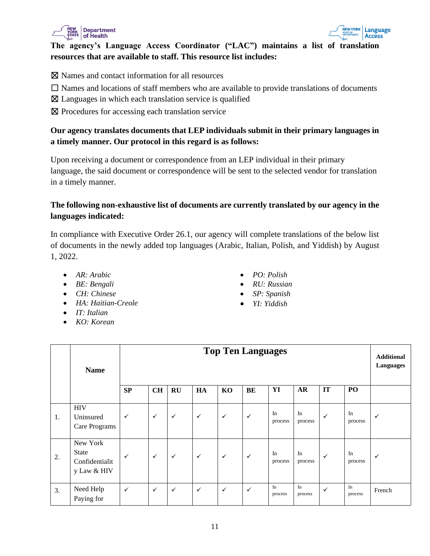



#### **The agency's Language Access Coordinator ("LAC") maintains a list of translation resources that are available to staff. This resource list includes:**

- ☒ Names and contact information for all resources
- $\Box$  Names and locations of staff members who are available to provide translations of documents
- $\boxtimes$  Languages in which each translation service is qualified
- ☒ Procedures for accessing each translation service

#### **Our agency translates documents that LEP individuals submit in their primary languages in a timely manner. Our protocol in this regard is as follows:**

Upon receiving a document or correspondence from an LEP individual in their primary language, the said document or correspondence will be sent to the selected vendor for translation in a timely manner.

# **The following non-exhaustive list of documents are currently translated by our agency in the languages indicated:**

In compliance with Executive Order 26.1, our agency will complete translations of the below list of documents in the newly added top languages (Arabic, Italian, Polish, and Yiddish) by August 1, 2022.

- *AR: Arabic*
- *BE: Bengali*
- *CH: Chinese*
- *HA: Haitian-Creole*
- *IT: Italian*
- *KO: Korean*
- *PO: Polish*
- *RU: Russian*
- *SP: Spanish*
- *YI: Yiddish*

|    | <b>Name</b>                                               | <b>Top Ten Languages</b> |              |              |              |              |              |               |               |              |               |        |
|----|-----------------------------------------------------------|--------------------------|--------------|--------------|--------------|--------------|--------------|---------------|---------------|--------------|---------------|--------|
|    |                                                           | SP                       | <b>CH</b>    | RU           | HA           | KO           | BE           | YI            | <b>AR</b>     | IT           | PO            |        |
| 1. | <b>HIV</b><br>Uninsured<br>Care Programs                  | $\checkmark$             | $\checkmark$ | $\checkmark$ | $\checkmark$ | $\checkmark$ | $\checkmark$ | In<br>process | In<br>process | $\checkmark$ | In<br>process | ✓      |
| 2. | New York<br><b>State</b><br>Confidentialit<br>y Law & HIV | $\checkmark$             | $\checkmark$ | $\checkmark$ | $\checkmark$ | $\checkmark$ | $\checkmark$ | In<br>process | In<br>process | $\checkmark$ | In<br>process | ✓      |
| 3. | Need Help<br>Paying for                                   | $\checkmark$             | $\checkmark$ | $\checkmark$ | $\checkmark$ | $\checkmark$ | $\checkmark$ | In<br>process | In<br>process | $\checkmark$ | In<br>process | French |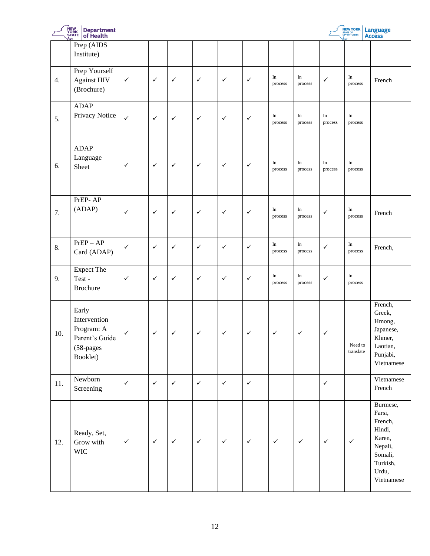|     | NEW<br>YORK<br>ȘTATE<br><b>Department</b><br>of Health                         |              |              |              |              |              |              |               |               |               | NEW YORK             | Language<br><b>Access</b>                                                                                  |
|-----|--------------------------------------------------------------------------------|--------------|--------------|--------------|--------------|--------------|--------------|---------------|---------------|---------------|----------------------|------------------------------------------------------------------------------------------------------------|
|     | Prep (AIDS<br>Institute)                                                       |              |              |              |              |              |              |               |               |               |                      |                                                                                                            |
| 4.  | Prep Yourself<br><b>Against HIV</b><br>(Brochure)                              | $\checkmark$ | $\checkmark$ | $\checkmark$ | $\checkmark$ | $\checkmark$ | $\checkmark$ | In<br>process | In<br>process | $\checkmark$  | In<br>process        | French                                                                                                     |
| 5.  | <b>ADAP</b><br>Privacy Notice                                                  | $\checkmark$ | $\checkmark$ | $\checkmark$ | $\checkmark$ | $\checkmark$ | $\checkmark$ | In<br>process | In<br>process | In<br>process | In<br>process        |                                                                                                            |
| 6.  | <b>ADAP</b><br>Language<br>Sheet                                               | $\checkmark$ | $\checkmark$ | $\checkmark$ | $\checkmark$ | $\checkmark$ | $\checkmark$ | In<br>process | In<br>process | In<br>process | $\rm{In}$<br>process |                                                                                                            |
| 7.  | PrEP-AP<br>(ADAP)                                                              | $\checkmark$ | $\checkmark$ | $\checkmark$ | $\checkmark$ | $\checkmark$ | $\checkmark$ | In<br>process | In<br>process | $\checkmark$  | In<br>process        | French                                                                                                     |
| 8.  | $PrEP - AP$<br>Card (ADAP)                                                     | $\checkmark$ | $\checkmark$ | $\checkmark$ | $\checkmark$ | $\checkmark$ | $\checkmark$ | In<br>process | In<br>process | $\checkmark$  | In<br>process        | French,                                                                                                    |
| 9.  | Expect The<br>Test-<br><b>Brochure</b>                                         | $\checkmark$ | $\checkmark$ | $\checkmark$ | $\checkmark$ | $\checkmark$ | $\checkmark$ | In<br>process | In<br>process | $\checkmark$  | In<br>process        |                                                                                                            |
| 10. | Early<br>Intervention<br>Program: A<br>Parent's Guide<br>(58-pages<br>Booklet) | $\checkmark$ | $\checkmark$ | $\checkmark$ | $\checkmark$ | $\checkmark$ | $\checkmark$ | $\checkmark$  | $\checkmark$  | $\checkmark$  | Need to<br>translate | French,<br>Greek,<br>Hmong,<br>Japanese,<br>Khmer,<br>Laotian,<br>Punjabi,<br>Vietnamese                   |
| 11. | Newborn<br>Screening                                                           | $\checkmark$ | $\checkmark$ | $\checkmark$ | $\checkmark$ | $\checkmark$ | $\checkmark$ |               |               | $\checkmark$  |                      | Vietnamese<br>French                                                                                       |
| 12. | Ready, Set,<br>Grow with<br><b>WIC</b>                                         | $\checkmark$ | $\checkmark$ | $\checkmark$ | $\checkmark$ | $\checkmark$ | $\checkmark$ | $\checkmark$  | $\checkmark$  | $\checkmark$  | $\checkmark$         | Burmese,<br>Farsi,<br>French,<br>Hindi,<br>Karen,<br>Nepali,<br>Somali,<br>Turkish,<br>Urdu,<br>Vietnamese |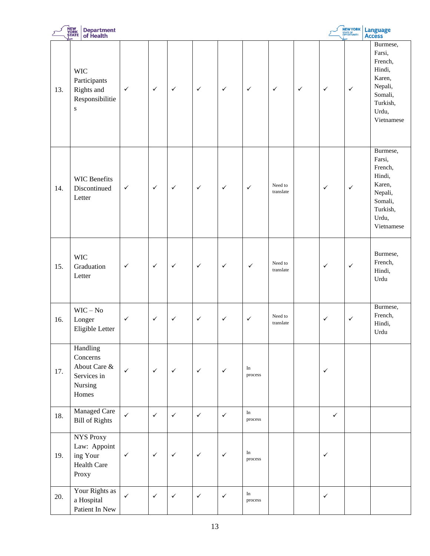|     | NEW<br>YORK<br>STATE<br><b>Department</b><br>of Health                   |              |              |              |              |              |                      |                      |              |              | NEW YORK     | Language<br>Access                                                                                         |
|-----|--------------------------------------------------------------------------|--------------|--------------|--------------|--------------|--------------|----------------------|----------------------|--------------|--------------|--------------|------------------------------------------------------------------------------------------------------------|
| 13. | <b>WIC</b><br>Participants<br>Rights and<br>Responsibilitie<br>${\bf S}$ | $\checkmark$ | $\checkmark$ | $\checkmark$ | $\checkmark$ | $\checkmark$ | $\checkmark$         | $\checkmark$         | $\checkmark$ | $\checkmark$ | $\checkmark$ | Burmese,<br>Farsi,<br>French,<br>Hindi,<br>Karen,<br>Nepali,<br>Somali,<br>Turkish,<br>Urdu,<br>Vietnamese |
| 14. | <b>WIC Benefits</b><br>Discontinued<br>Letter                            | $\checkmark$ | $\checkmark$ | $\checkmark$ | $\checkmark$ | $\checkmark$ | $\checkmark$         | Need to<br>translate |              | $\checkmark$ | $\checkmark$ | Burmese,<br>Farsi,<br>French,<br>Hindi,<br>Karen,<br>Nepali,<br>Somali,<br>Turkish,<br>Urdu,<br>Vietnamese |
| 15. | <b>WIC</b><br>Graduation<br>Letter                                       | $\checkmark$ | $\checkmark$ | $\checkmark$ | $\checkmark$ | $\checkmark$ | $\checkmark$         | Need to<br>translate |              | $\checkmark$ | $\checkmark$ | Burmese,<br>French,<br>Hindi,<br>Urdu                                                                      |
| 16. | $WIC - No$<br>Longer<br>Eligible Letter                                  | $\checkmark$ | $\checkmark$ | $\checkmark$ | $\checkmark$ | $\checkmark$ | $\checkmark$         | Need to<br>translate |              | $\checkmark$ | $\checkmark$ | Burmese,<br>French,<br>Hindi,<br>Urdu                                                                      |
| 17. | Handling<br>Concerns<br>About Care &<br>Services in<br>Nursing<br>Homes  | $\checkmark$ | $\checkmark$ | $\checkmark$ | $\checkmark$ | $\checkmark$ | In<br>process        |                      |              | $\checkmark$ |              |                                                                                                            |
| 18. | Managed Care<br><b>Bill of Rights</b>                                    | $\checkmark$ | $\checkmark$ | $\checkmark$ | $\checkmark$ | $\checkmark$ | $\rm{In}$<br>process |                      |              | $\checkmark$ |              |                                                                                                            |
| 19. | NYS Proxy<br>Law: Appoint<br>ing Your<br><b>Health Care</b><br>Proxy     | $\checkmark$ | $\checkmark$ | $\checkmark$ | $\checkmark$ | $\checkmark$ | In<br>process        |                      |              | $\checkmark$ |              |                                                                                                            |
| 20. | Your Rights as<br>a Hospital<br>Patient In New                           | $\checkmark$ | $\checkmark$ | $\checkmark$ | $\checkmark$ | $\checkmark$ | In<br>process        |                      |              | $\checkmark$ |              |                                                                                                            |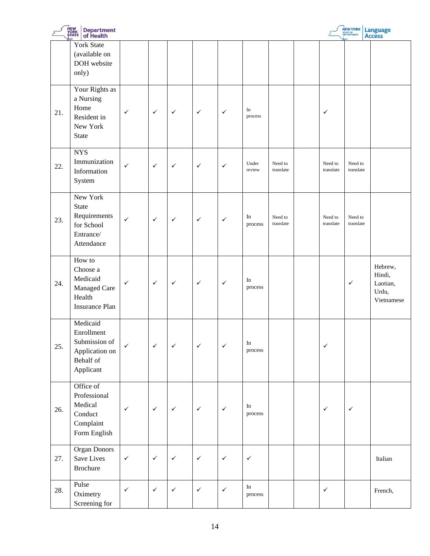|     | <b>NEW<br/>YORK<br/>STATE</b><br><b>Department</b><br>of Health<br><b>NEW YORK</b><br>STATE OF<br>OPPORTUNITY.<br>Language<br>Access |              |              |              |              |              |                                |                      |  |                      |                      |                                                      |
|-----|--------------------------------------------------------------------------------------------------------------------------------------|--------------|--------------|--------------|--------------|--------------|--------------------------------|----------------------|--|----------------------|----------------------|------------------------------------------------------|
|     | <b>York State</b><br>(available on<br>DOH website<br>only)                                                                           |              |              |              |              |              |                                |                      |  |                      |                      |                                                      |
| 21. | Your Rights as<br>a Nursing<br>Home<br>Resident in<br>New York<br><b>State</b>                                                       | $\checkmark$ | $\checkmark$ | $\checkmark$ | $\checkmark$ | $\checkmark$ | In<br>process                  |                      |  | ✓                    |                      |                                                      |
| 22. | <b>NYS</b><br>Immunization<br>Information<br>System                                                                                  | ✓            | $\checkmark$ | $\checkmark$ | $\checkmark$ | ✓            | Under<br>review                | Need to<br>translate |  | Need to<br>translate | Need to<br>translate |                                                      |
| 23. | New York<br><b>State</b><br>Requirements<br>for School<br>Entrance/<br>Attendance                                                    | $\checkmark$ | $\checkmark$ | $\checkmark$ | $\checkmark$ | $\checkmark$ | In<br>process                  | Need to<br>translate |  | Need to<br>translate | Need to<br>translate |                                                      |
| 24. | How to<br>Choose a<br>Medicaid<br>Managed Care<br>Health<br><b>Insurance Plan</b>                                                    | $\checkmark$ | $\checkmark$ | $\checkmark$ | $\checkmark$ | $\checkmark$ | $\rm{In}$<br>process           |                      |  |                      | $\checkmark$         | Hebrew,<br>Hindi,<br>Laotian,<br>Urdu,<br>Vietnamese |
| 25. | Medicaid<br>Enrollment<br>Submission of<br>Application on<br>Behalf of<br>Applicant                                                  | $\checkmark$ | $\checkmark$ | $\checkmark$ | $\checkmark$ | $\checkmark$ | $\operatorname{In}$<br>process |                      |  | $\checkmark$         |                      |                                                      |
| 26. | Office of<br>Professional<br>Medical<br>Conduct<br>Complant<br>Form English                                                          | $\checkmark$ | $\checkmark$ | $\checkmark$ | $\checkmark$ | $\checkmark$ | $\rm{In}$<br>process           |                      |  | $\checkmark$         | $\checkmark$         |                                                      |
| 27. | <b>Organ Donors</b><br>Save Lives<br><b>Brochure</b>                                                                                 | $\checkmark$ | $\checkmark$ | $\checkmark$ | $\checkmark$ | $\checkmark$ | $\checkmark$                   |                      |  |                      |                      | Italian                                              |
| 28. | Pulse<br>Oximetry<br>Screening for                                                                                                   | $\checkmark$ | $\checkmark$ | $\checkmark$ | $\checkmark$ | $\checkmark$ | $\rm{In}$<br>process           |                      |  | $\checkmark$         |                      | French,                                              |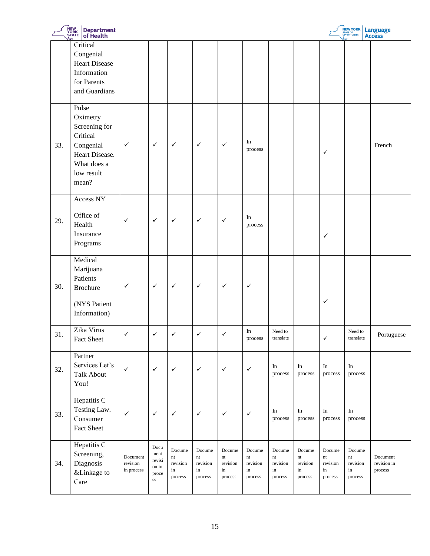|     | NEW<br>YORK<br>ȘTATE<br><b>Department</b><br>of <b>Health</b>                                                       |                                    |                                                |                                                                 |                                                                   |                                                               |                                                               |                                           |                                                                   |                                           | NEW YORK                                  | Language<br>Access                 |
|-----|---------------------------------------------------------------------------------------------------------------------|------------------------------------|------------------------------------------------|-----------------------------------------------------------------|-------------------------------------------------------------------|---------------------------------------------------------------|---------------------------------------------------------------|-------------------------------------------|-------------------------------------------------------------------|-------------------------------------------|-------------------------------------------|------------------------------------|
|     | Critical<br>Congenial<br><b>Heart Disease</b><br>Information<br>for Parents<br>and Guardians                        |                                    |                                                |                                                                 |                                                                   |                                                               |                                                               |                                           |                                                                   |                                           |                                           |                                    |
| 33. | Pulse<br>Oximetry<br>Screening for<br>Critical<br>Congenial<br>Heart Disease.<br>What does a<br>low result<br>mean? | $\checkmark$                       | $\checkmark$                                   | $\checkmark$                                                    | $\checkmark$                                                      | $\checkmark$                                                  | In<br>process                                                 |                                           |                                                                   | $\checkmark$                              |                                           | French                             |
| 29. | Access NY<br>Office of<br>Health<br>Insurance<br>Programs                                                           | $\checkmark$                       | $\checkmark$                                   | $\checkmark$                                                    | $\checkmark$                                                      | $\checkmark$                                                  | In<br>process                                                 |                                           |                                                                   | ✓                                         |                                           |                                    |
| 30. | Medical<br>Marijuana<br>Patients<br><b>Brochure</b><br>(NYS Patient<br>Information)                                 | $\checkmark$                       | $\checkmark$                                   | $\checkmark$                                                    | $\checkmark$                                                      | $\checkmark$                                                  | $\checkmark$                                                  |                                           |                                                                   | ✓                                         |                                           |                                    |
| 31. | Zika Virus<br>Fact Sheet                                                                                            | $\checkmark$                       | $\checkmark$                                   | $\checkmark$                                                    | $\checkmark$                                                      | $\checkmark$                                                  | In<br>$\, {\rm process}$                                      | Need to<br>translate                      |                                                                   | $\checkmark$                              | Need to<br>translate                      | Portuguese                         |
| 32. | Partner<br>Services Let's<br><b>Talk About</b><br>You!                                                              | $\checkmark$                       | $\checkmark$                                   | $\checkmark$                                                    | $\checkmark$                                                      | $\checkmark$                                                  | $\checkmark$                                                  | In<br>process                             | In<br>process                                                     | In<br>process                             | $\rm In$<br>process                       |                                    |
| 33. | Hepatitis C<br>Testing Law.<br>Consumer<br>Fact Sheet                                                               | $\checkmark$                       | $\checkmark$                                   | $\checkmark$                                                    | $\checkmark$                                                      | $\checkmark$                                                  | $\checkmark$                                                  | In<br>process                             | In<br>process                                                     | $\rm{In}$<br>process                      | $\rm In$<br>process                       |                                    |
| 34. | Hepatitis C<br>Screening,<br>Diagnosis<br>&Linkage to<br>Care                                                       | Document<br>revision<br>in process | Docu<br>ment<br>revisi<br>on in<br>proce<br>SS | Docume<br>$\mathop{\hbox{\rm nt}}$<br>revision<br>in<br>process | Docume<br>$\mathop{\rm nt}\nolimits$<br>revision<br>in<br>process | Docume<br>$\mathop{\mathsf{nt}}$<br>revision<br>in<br>process | Docume<br>$\mathop{\mathsf{nt}}$<br>revision<br>in<br>process | Docume<br>nt<br>revision<br>in<br>process | Docume<br>$\mathop{\rm nt}\nolimits$<br>revision<br>in<br>process | Docume<br>nt<br>revision<br>in<br>process | Docume<br>nt<br>revision<br>in<br>process | Document<br>revision in<br>process |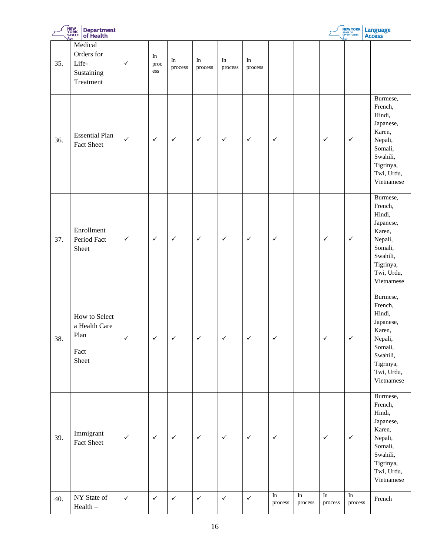|     | NEW<br>YORK<br>ȘTATE<br><b>Department</b><br>of Health    |              |                   |               |               |               |               |                             |                             |                             | NEW YORK                    | Language<br>Access                                                                                                              |
|-----|-----------------------------------------------------------|--------------|-------------------|---------------|---------------|---------------|---------------|-----------------------------|-----------------------------|-----------------------------|-----------------------------|---------------------------------------------------------------------------------------------------------------------------------|
| 35. | Medical<br>Orders for<br>Life-<br>Sustaining<br>Treatment | ✓            | In<br>proc<br>ess | In<br>process | In<br>process | In<br>process | In<br>process |                             |                             |                             |                             |                                                                                                                                 |
| 36. | <b>Essential Plan</b><br><b>Fact Sheet</b>                | $\checkmark$ | $\checkmark$      | $\checkmark$  | $\checkmark$  | $\checkmark$  | $\checkmark$  | $\checkmark$                |                             | $\checkmark$                | $\checkmark$                | Burmese,<br>French,<br>Hindi,<br>Japanese,<br>Karen,<br>Nepali,<br>Somali,<br>Swahili,<br>Tigrinya,<br>Twi, Urdu,<br>Vietnamese |
| 37. | Enrollment<br>Period Fact<br>Sheet                        | $\checkmark$ | $\checkmark$      | $\checkmark$  | $\checkmark$  | $\checkmark$  | $\checkmark$  | $\checkmark$                |                             | $\checkmark$                | $\checkmark$                | Burmese,<br>French,<br>Hindi,<br>Japanese,<br>Karen,<br>Nepali,<br>Somali,<br>Swahili,<br>Tigrinya,<br>Twi, Urdu,<br>Vietnamese |
| 38. | How to Select<br>a Health Care<br>Plan<br>Fact<br>Sheet   | $\checkmark$ | $\checkmark$      | ✓             |               | ✓             | ✓             | ✓                           |                             |                             | ✓                           | Burmese,<br>French,<br>Hindi,<br>Japanese,<br>Karen,<br>Nepali,<br>Somali,<br>Swahili,<br>Tigrinya,<br>Twi, Urdu,<br>Vietnamese |
| 39. | Immigrant<br>Fact Sheet                                   | $\checkmark$ | $\checkmark$      | $\checkmark$  | $\checkmark$  | $\checkmark$  | $\checkmark$  | $\checkmark$                |                             | $\checkmark$                | $\checkmark$                | Burmese,<br>French,<br>Hindi,<br>Japanese,<br>Karen,<br>Nepali,<br>Somali,<br>Swahili,<br>Tigrinya,<br>Twi, Urdu,<br>Vietnamese |
| 40. | NY State of<br>$Health -$                                 | $\checkmark$ | $\checkmark$      | $\checkmark$  | $\checkmark$  | $\checkmark$  | $\checkmark$  | $\overline{\ln}$<br>process | $\overline{\ln}$<br>process | $\overline{\ln}$<br>process | $\overline{\ln}$<br>process | French                                                                                                                          |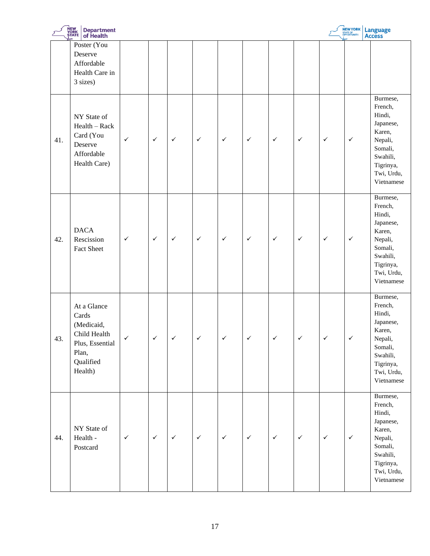|     | NEW<br>YORK<br>ȘTATE<br>Department<br>of Health                                                        |              |              |              |              |              |              |              |              |              | NEW YORK     | Language<br>Access                                                                                                              |
|-----|--------------------------------------------------------------------------------------------------------|--------------|--------------|--------------|--------------|--------------|--------------|--------------|--------------|--------------|--------------|---------------------------------------------------------------------------------------------------------------------------------|
|     | Poster (You<br>Deserve<br>Affordable<br>Health Care in<br>3 sizes)                                     |              |              |              |              |              |              |              |              |              |              |                                                                                                                                 |
| 41. | NY State of<br>$Health - Rack$<br>Card (You<br>Deserve<br>Affordable<br>Health Care)                   | $\checkmark$ | $\checkmark$ | $\checkmark$ | $\checkmark$ | $\checkmark$ | $\checkmark$ | $\checkmark$ | $\checkmark$ | $\checkmark$ | $\checkmark$ | Burmese,<br>French,<br>Hindi,<br>Japanese,<br>Karen,<br>Nepali,<br>Somali,<br>Swahili,<br>Tigrinya,<br>Twi, Urdu,<br>Vietnamese |
| 42. | <b>DACA</b><br>Rescission<br><b>Fact Sheet</b>                                                         | $\checkmark$ | $\checkmark$ | $\checkmark$ | $\checkmark$ | $\checkmark$ | $\checkmark$ | $\checkmark$ | $\checkmark$ | $\checkmark$ | $\checkmark$ | Burmese,<br>French,<br>Hindi,<br>Japanese,<br>Karen,<br>Nepali,<br>Somali,<br>Swahili,<br>Tigrinya,<br>Twi, Urdu,<br>Vietnamese |
| 43. | At a Glance<br>Cards<br>(Medicaid,<br>Child Health<br>Plus, Essential<br>Plan,<br>Qualified<br>Health) | ✓            | $\checkmark$ | ✓            |              |              | ✓            |              | ✓            | ✓            | ✓            | Burmese,<br>French,<br>Hindi,<br>Japanese,<br>Karen,<br>Nepali,<br>Somali,<br>Swahili,<br>Tigrinya,<br>Twi, Urdu,<br>Vietnamese |
| 44. | NY State of<br>Health -<br>Postcard                                                                    | $\checkmark$ | $\checkmark$ | $\checkmark$ | $\checkmark$ | $\checkmark$ | $\checkmark$ | $\checkmark$ | $\checkmark$ | $\checkmark$ | $\checkmark$ | Burmese,<br>French,<br>Hindi,<br>Japanese,<br>Karen,<br>Nepali,<br>Somali,<br>Swahili,<br>Tigrinya,<br>Twi, Urdu,<br>Vietnamese |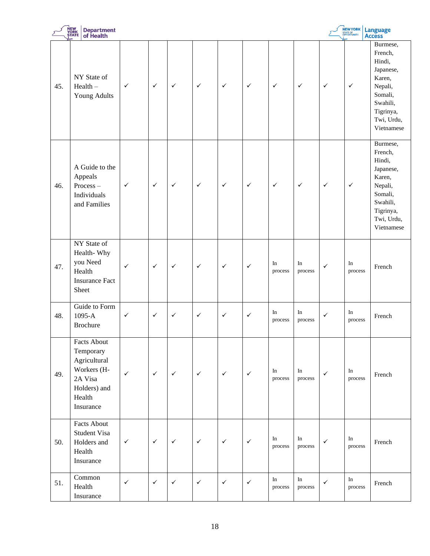|     | <b>NEW<br/>YORK<br/>STATE</b><br><b>Department</b><br>of Health                                           |              |              |              |              |              |              |               |                                |              | NEW YORK      | Language<br>Access                                                                                                              |
|-----|-----------------------------------------------------------------------------------------------------------|--------------|--------------|--------------|--------------|--------------|--------------|---------------|--------------------------------|--------------|---------------|---------------------------------------------------------------------------------------------------------------------------------|
| 45. | NY State of<br>$Health -$<br>Young Adults                                                                 | $\checkmark$ | $\checkmark$ | $\checkmark$ | $\checkmark$ | $\checkmark$ | $\checkmark$ | $\checkmark$  | $\checkmark$                   | $\checkmark$ | $\checkmark$  | Burmese,<br>French,<br>Hindi,<br>Japanese,<br>Karen,<br>Nepali,<br>Somali,<br>Swahili,<br>Tigrinya,<br>Twi, Urdu,<br>Vietnamese |
| 46. | A Guide to the<br>Appeals<br>Process-<br>Individuals<br>and Families                                      | $\checkmark$ | $\checkmark$ | $\checkmark$ | $\checkmark$ | $\checkmark$ | $\checkmark$ | $\checkmark$  | $\checkmark$                   | $\checkmark$ | $\checkmark$  | Burmese,<br>French,<br>Hindi,<br>Japanese,<br>Karen,<br>Nepali,<br>Somali,<br>Swahili,<br>Tigrinya,<br>Twi, Urdu,<br>Vietnamese |
| 47. | NY State of<br>Health-Why<br>you Need<br>Health<br><b>Insurance Fact</b><br>Sheet                         | $\checkmark$ | $\checkmark$ | $\checkmark$ | $\checkmark$ | $\checkmark$ | $\checkmark$ | In<br>process | In<br>process                  | $\checkmark$ | In<br>process | French                                                                                                                          |
| 48. | Guide to Form<br>1095-A<br><b>Brochure</b>                                                                | $\checkmark$ | $\checkmark$ | $\checkmark$ | $\checkmark$ | $\checkmark$ | $\checkmark$ | In<br>process | In<br>process                  | ✓            | In<br>process | French                                                                                                                          |
| 49. | Facts About<br>Temporary<br>Agricultural<br>Workers (H-<br>2A Visa<br>Holders) and<br>Health<br>Insurance | $\checkmark$ | $\checkmark$ | $\checkmark$ | $\checkmark$ | $\checkmark$ | $\checkmark$ | In<br>process | In<br>process                  | $\checkmark$ | In<br>process | French                                                                                                                          |
| 50. | <b>Facts About</b><br>Student Visa<br>Holders and<br>Health<br>Insurance                                  | $\checkmark$ | $\checkmark$ | $\checkmark$ | $\checkmark$ | $\checkmark$ | $\checkmark$ | In<br>process | In<br>process                  | $\checkmark$ | In<br>process | French                                                                                                                          |
| 51. | Common<br>Health<br>Insurance                                                                             | $\checkmark$ | $\checkmark$ | $\checkmark$ | $\checkmark$ | $\checkmark$ | $\checkmark$ | In<br>process | $\operatorname{In}$<br>process | $\checkmark$ | In<br>process | French                                                                                                                          |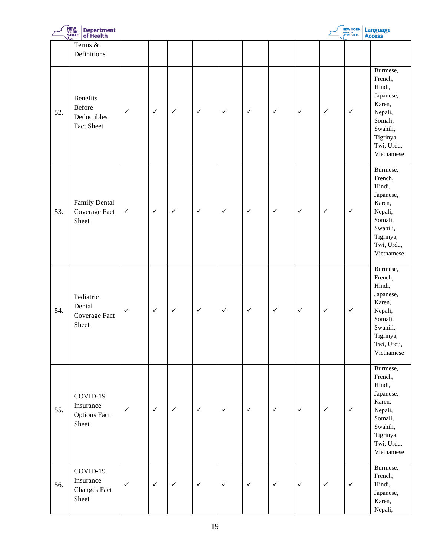|     | <b>NEW<br/>YORK<br/>STATE</b><br><b>Department</b><br>of Health      |              |              |              |              |              |              |              |              |              | NEW YORK     | Language<br>Access                                                                                                              |
|-----|----------------------------------------------------------------------|--------------|--------------|--------------|--------------|--------------|--------------|--------------|--------------|--------------|--------------|---------------------------------------------------------------------------------------------------------------------------------|
|     | Terms $\overline{\&}$<br>Definitions                                 |              |              |              |              |              |              |              |              |              |              |                                                                                                                                 |
| 52. | <b>Benefits</b><br><b>Before</b><br>Deductibles<br><b>Fact Sheet</b> | $\checkmark$ | $\checkmark$ | $\checkmark$ | $\checkmark$ | $\checkmark$ | $\checkmark$ | $\checkmark$ | $\checkmark$ | $\checkmark$ | $\checkmark$ | Burmese,<br>French,<br>Hindi,<br>Japanese,<br>Karen,<br>Nepali,<br>Somali,<br>Swahili,<br>Tigrinya,<br>Twi, Urdu,<br>Vietnamese |
| 53. | Family Dental<br>Coverage Fact<br>Sheet                              | $\checkmark$ | $\checkmark$ | $\checkmark$ | $\checkmark$ | $\checkmark$ | $\checkmark$ | $\checkmark$ | $\checkmark$ | $\checkmark$ | $\checkmark$ | Burmese,<br>French,<br>Hindi,<br>Japanese,<br>Karen,<br>Nepali,<br>Somali,<br>Swahili,<br>Tigrinya,<br>Twi, Urdu,<br>Vietnamese |
| 54. | Pediatric<br>Dental<br>Coverage Fact<br>Sheet                        | $\checkmark$ | $\checkmark$ | $\checkmark$ | $\checkmark$ | $\checkmark$ | $\checkmark$ | $\checkmark$ | $\checkmark$ | $\checkmark$ | $\checkmark$ | Burmese,<br>French,<br>Hindi,<br>Japanese,<br>Karen,<br>Nepali,<br>Somali,<br>Swahili,<br>Tigrinya,<br>Twi, Urdu,<br>Vietnamese |
| 55. | COVID-19<br>Insurance<br><b>Options Fact</b><br>Sheet                | $\checkmark$ | $\checkmark$ | $\checkmark$ | $\checkmark$ | $\checkmark$ | $\checkmark$ | $\checkmark$ | $\checkmark$ | $\checkmark$ | $\checkmark$ | Burmese,<br>French,<br>Hindi,<br>Japanese,<br>Karen,<br>Nepali,<br>Somali,<br>Swahili,<br>Tigrinya,<br>Twi, Urdu,<br>Vietnamese |
| 56. | COVID-19<br>Insurance<br><b>Changes Fact</b><br>Sheet                | $\checkmark$ | $\checkmark$ | $\checkmark$ | $\checkmark$ | $\checkmark$ | $\checkmark$ | $\checkmark$ | $\checkmark$ | $\checkmark$ | $\checkmark$ | Burmese,<br>French,<br>Hindi,<br>Japanese,<br>Karen,<br>Nepali,                                                                 |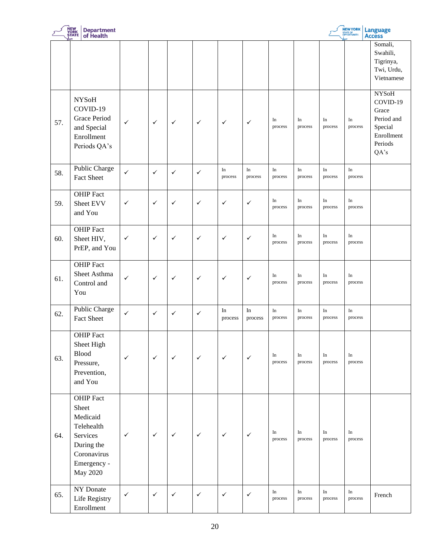|     | NEW<br>YORK<br>ȘTATE<br><b>Department</b><br>of Health                                                                         |              |              |              |              |               |               |               |               |               | <b>NEW YORK</b><br>STATE OF<br>OPPORTUNITY. | <b>Language</b><br><b>Access</b>                                                            |
|-----|--------------------------------------------------------------------------------------------------------------------------------|--------------|--------------|--------------|--------------|---------------|---------------|---------------|---------------|---------------|---------------------------------------------|---------------------------------------------------------------------------------------------|
|     |                                                                                                                                |              |              |              |              |               |               |               |               |               |                                             | Somali,<br>Swahili,<br>Tigrinya,<br>Twi, Urdu,<br>Vietnamese                                |
| 57. | <b>NYSoH</b><br>COVID-19<br><b>Grace Period</b><br>and Special<br>Enrollment<br>Periods QA's                                   | $\checkmark$ | $\checkmark$ | $\checkmark$ | $\checkmark$ | $\checkmark$  | $\checkmark$  | In<br>process | In<br>process | In<br>process | In<br>process                               | <b>NYSoH</b><br>COVID-19<br>Grace<br>Period and<br>Special<br>Enrollment<br>Periods<br>QA's |
| 58. | Public Charge<br><b>Fact Sheet</b>                                                                                             | $\checkmark$ | $\checkmark$ | $\checkmark$ | $\checkmark$ | In<br>process | In<br>process | In<br>process | In<br>process | In<br>process | In<br>process                               |                                                                                             |
| 59. | OHIP Fact<br>Sheet EVV<br>and You                                                                                              | ✓            | $\checkmark$ | $\checkmark$ | $\checkmark$ | $\checkmark$  | $\checkmark$  | In<br>process | In<br>process | In<br>process | In<br>process                               |                                                                                             |
| 60. | <b>OHIP</b> Fact<br>Sheet HIV,<br>PrEP, and You                                                                                | $\checkmark$ | $\checkmark$ | $\checkmark$ | $\checkmark$ | $\checkmark$  | $\checkmark$  | In<br>process | In<br>process | In<br>process | In<br>process                               |                                                                                             |
| 61. | <b>OHIP</b> Fact<br>Sheet Asthma<br>Control and<br>You                                                                         | $\checkmark$ | $\checkmark$ | $\checkmark$ | $\checkmark$ | $\checkmark$  | $\checkmark$  | In<br>process | In<br>process | In<br>process | In<br>process                               |                                                                                             |
| 62. | Public Charge<br><b>Fact Sheet</b>                                                                                             | $\checkmark$ | $\checkmark$ | $\checkmark$ | $\checkmark$ | In<br>process | In<br>process | In<br>process | In<br>process | In<br>process | In<br>process                               |                                                                                             |
| 63. | <b>OHIP</b> Fact<br>Sheet High<br>Blood<br>Pressure,<br>Prevention,<br>and You                                                 | $\checkmark$ | $\checkmark$ | $\checkmark$ | $\checkmark$ | $\checkmark$  | $\checkmark$  | In<br>process | In<br>process | In<br>process | In<br>process                               |                                                                                             |
| 64. | <b>OHIP</b> Fact<br>Sheet<br>Medicaid<br>Telehealth<br>Services<br>During the<br>Coronavirus<br>Emergency -<br><b>May 2020</b> | $\checkmark$ | $\checkmark$ | $\checkmark$ | $\checkmark$ | $\checkmark$  | $\checkmark$  | In<br>process | In<br>process | In<br>process | In<br>process                               |                                                                                             |
| 65. | NY Donate<br>Life Registry<br>Enrollment                                                                                       | ✓            | $\checkmark$ | $\checkmark$ | $\checkmark$ | $\checkmark$  | $\checkmark$  | In<br>process | In<br>process | In<br>process | In<br>process                               | French                                                                                      |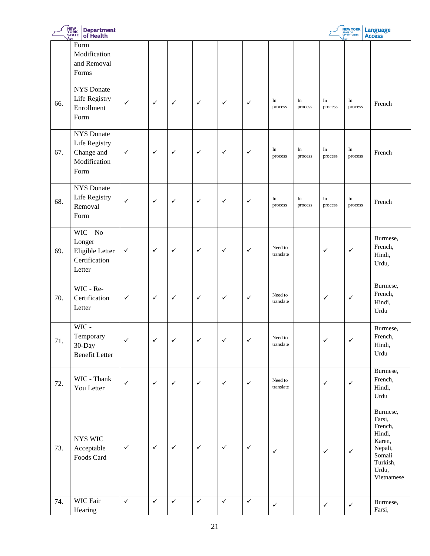|     | NEW<br>YORK<br>ȘTATE<br><b>Department</b><br>of Health                   |              |              |              |                          |               |              |                      |               |               | <b>NEW YORK</b> | Language<br>Access                                                                                        |
|-----|--------------------------------------------------------------------------|--------------|--------------|--------------|--------------------------|---------------|--------------|----------------------|---------------|---------------|-----------------|-----------------------------------------------------------------------------------------------------------|
|     | Form<br>Modification<br>and Removal<br>Forms                             |              |              |              |                          |               |              |                      |               |               |                 |                                                                                                           |
| 66. | <b>NYS</b> Donate<br>Life Registry<br>Enrollment<br>Form                 | $\checkmark$ | $\checkmark$ | $\checkmark$ | $\checkmark$             | $\checkmark$  | $\checkmark$ | In<br>process        | In<br>process | In<br>process | In<br>process   | French                                                                                                    |
| 67. | <b>NYS</b> Donate<br>Life Registry<br>Change and<br>Modification<br>Form | $\checkmark$ | $\checkmark$ | $\checkmark$ | $\checkmark$             | $\checkmark$  | $\checkmark$ | In<br>process        | In<br>process | In<br>process | In<br>process   | French                                                                                                    |
| 68. | <b>NYS</b> Donate<br>Life Registry<br>Removal<br>Form                    | ✓            | $\checkmark$ | $\checkmark$ | $\checkmark$             | $\checkmark$  | $\checkmark$ | In<br>process        | In<br>process | In<br>process | In<br>process   | French                                                                                                    |
| 69. | $WIC - No$<br>Longer<br>Eligible Letter<br>Certification<br>Letter       | $\checkmark$ | $\checkmark$ | $\checkmark$ | $\checkmark$             | $\checkmark$  | $\checkmark$ | Need to<br>translate |               | $\checkmark$  | $\checkmark$    | Burmese,<br>French,<br>Hindi,<br>Urdu,                                                                    |
| 70. | WIC - Re-<br>Certification<br>Letter                                     | $\checkmark$ | $\checkmark$ | $\checkmark$ | $\checkmark$             | $\checkmark$  | $\checkmark$ | Need to<br>translate |               | $\checkmark$  | $\checkmark$    | Burmese,<br>French,<br>Hindi,<br>Urdu                                                                     |
| 71. | WIC-<br>Temporary<br>30-Day<br><b>Benefit Letter</b>                     | $\checkmark$ | $\checkmark$ | $\checkmark$ | $\overline{\phantom{0}}$ | $\mathcal{L}$ | ✓            | Need to<br>translate |               | $\epsilon$    | ∕               | Burmese,<br>French,<br>Hindi,<br>Urdu                                                                     |
| 72. | WIC - Thank<br>You Letter                                                | $\checkmark$ | $\checkmark$ | $\checkmark$ | $\checkmark$             | $\checkmark$  | $\checkmark$ | Need to<br>translate |               | $\checkmark$  | $\checkmark$    | Burmese,<br>French,<br>Hindi,<br>Urdu                                                                     |
| 73. | NYS WIC<br>Acceptable<br>Foods Card                                      | $\checkmark$ | $\checkmark$ | $\checkmark$ | $\checkmark$             | $\checkmark$  | $\checkmark$ | $\checkmark$         |               | $\checkmark$  | $\checkmark$    | Burmese,<br>Farsi,<br>French,<br>Hindi,<br>Karen,<br>Nepali,<br>Somali<br>Turkish,<br>Urdu,<br>Vietnamese |
| 74. | WIC Fair<br>Hearing                                                      | $\checkmark$ | $\checkmark$ | $\checkmark$ | $\checkmark$             | $\checkmark$  | $\checkmark$ | $\checkmark$         |               | $\checkmark$  | $\checkmark$    | Burmese,<br>Farsi,                                                                                        |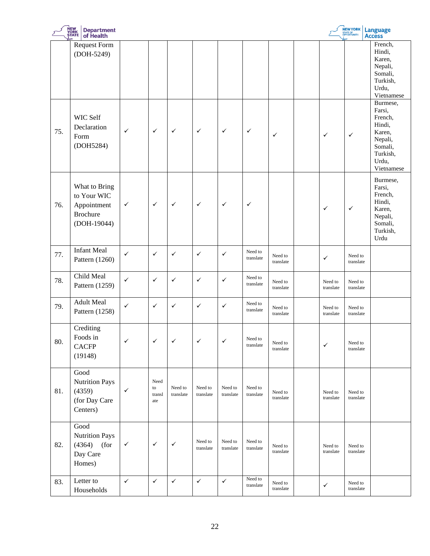|     | <b>NEW<br/>YORK<br/>STATE</b><br><b>Department</b><br>of Health               |              |                             |                      |                      |                      |                      |                      |                      | <b>NEW YORK</b><br>STATE OF<br>OPPORTUNITY. | <b>Language</b><br><b>Access</b>                                                                           |
|-----|-------------------------------------------------------------------------------|--------------|-----------------------------|----------------------|----------------------|----------------------|----------------------|----------------------|----------------------|---------------------------------------------|------------------------------------------------------------------------------------------------------------|
|     | <b>Request Form</b><br>(DOH-5249)                                             |              |                             |                      |                      |                      |                      |                      |                      |                                             | French,<br>Hindi,<br>Karen,<br>Nepali,<br>Somali,<br>Turkish,<br>Urdu,<br>Vietnamese                       |
| 75. | WIC Self<br>Declaration<br>Form<br>(DOH5284)                                  | $\checkmark$ | $\checkmark$                | $\checkmark$         | $\checkmark$         | $\checkmark$         | $\checkmark$         | $\checkmark$         | $\checkmark$         | $\checkmark$                                | Burmese,<br>Farsi,<br>French,<br>Hindi,<br>Karen,<br>Nepali,<br>Somali,<br>Turkish,<br>Urdu,<br>Vietnamese |
| 76. | What to Bring<br>to Your WIC<br>Appointment<br><b>Brochure</b><br>(DOH-19044) | $\checkmark$ | $\checkmark$                | $\checkmark$         | $\checkmark$         | $\checkmark$         | $\checkmark$         |                      | $\checkmark$         | $\checkmark$                                | Burmese,<br>Farsi,<br>French,<br>Hindi,<br>Karen,<br>Nepali,<br>Somali,<br>Turkish,<br>Urdu                |
| 77. | <b>Infant Meal</b><br>Pattern (1260)                                          | $\checkmark$ | $\checkmark$                | ✓                    | $\checkmark$         | $\checkmark$         | Need to<br>translate | Need to<br>translate | $\checkmark$         | Need to<br>translate                        |                                                                                                            |
| 78. | Child Meal<br>Pattern (1259)                                                  | $\checkmark$ | $\checkmark$                | ✓                    | $\checkmark$         | $\checkmark$         | Need to<br>translate | Need to<br>translate | Need to<br>translate | Need to<br>translate                        |                                                                                                            |
| 79. | <b>Adult Meal</b><br>Pattern (1258)                                           | $\checkmark$ | $\checkmark$                | $\checkmark$         | $\checkmark$         | $\checkmark$         | Need to<br>translate | Need to<br>translate | Need to<br>translate | Need to<br>translate                        |                                                                                                            |
| 80. | Crediting<br>Foods in<br><b>CACFP</b><br>(19148)                              | $\checkmark$ | $\checkmark$                | ✓                    | $\checkmark$         | $\checkmark$         | Need to<br>translate | Need to<br>translate | $\checkmark$         | Need to<br>translate                        |                                                                                                            |
| 81. | Good<br><b>Nutrition Pays</b><br>(4359)<br>(for Day Care<br>Centers)          | $\checkmark$ | Need<br>to<br>transl<br>ate | Need to<br>translate | Need to<br>translate | Need to<br>translate | Need to<br>translate | Need to<br>translate | Need to<br>translate | Need to<br>translate                        |                                                                                                            |
| 82. | Good<br>Nutrition Pays<br>(for<br>(4364)<br>Day Care<br>Homes)                | $\checkmark$ | $\checkmark$                | $\checkmark$         | Need to<br>translate | Need to<br>translate | Need to<br>translate | Need to<br>translate | Need to<br>translate | Need to<br>translate                        |                                                                                                            |
| 83. | Letter to<br>Households                                                       | $\checkmark$ | $\checkmark$                | $\checkmark$         | $\checkmark$         | $\checkmark$         | Need to<br>translate | Need to<br>translate | $\checkmark$         | Need to<br>translate                        |                                                                                                            |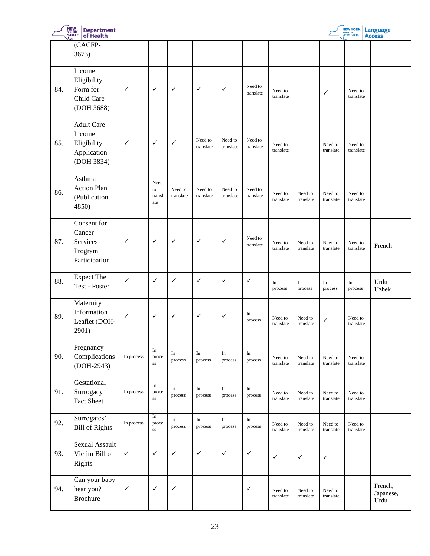|     | NEW<br>YORK<br>ȘTATE<br><b>Department</b><br>of Health                  |              |                             |                      |                      |                      |                      |                      |                      |                      | <b>NEW YORK</b><br>STATE OF<br>OPPORTUNITY. | <b>Language</b><br><b>Access</b> |
|-----|-------------------------------------------------------------------------|--------------|-----------------------------|----------------------|----------------------|----------------------|----------------------|----------------------|----------------------|----------------------|---------------------------------------------|----------------------------------|
|     | (CACFP-<br>3673)                                                        |              |                             |                      |                      |                      |                      |                      |                      |                      |                                             |                                  |
| 84. | Income<br>Eligibility<br>Form for<br>Child Care<br>(DOH 3688)           | ✓            | $\checkmark$                | $\checkmark$         | $\checkmark$         | ✓                    | Need to<br>translate | Need to<br>translate |                      | ✓                    | Need to<br>translate                        |                                  |
| 85. | <b>Adult Care</b><br>Income<br>Eligibility<br>Application<br>(DOH 3834) | $\checkmark$ | $\checkmark$                | $\checkmark$         | Need to<br>translate | Need to<br>translate | Need to<br>translate | Need to<br>translate |                      | Need to<br>translate | Need to<br>translate                        |                                  |
| 86. | Asthma<br><b>Action Plan</b><br>(Publication<br>4850)                   |              | Need<br>to<br>transl<br>ate | Need to<br>translate | Need to<br>translate | Need to<br>translate | Need to<br>translate | Need to<br>translate | Need to<br>translate | Need to<br>translate | Need to<br>translate                        |                                  |
| 87. | Consent for<br>Cancer<br>Services<br>Program<br>Participation           | $\checkmark$ | $\checkmark$                | $\checkmark$         | $\checkmark$         | ✓                    | Need to<br>translate | Need to<br>translate | Need to<br>translate | Need to<br>translate | Need to<br>translate                        | French                           |
| 88. | <b>Expect The</b><br>Test - Poster                                      | $\checkmark$ | $\checkmark$                | $\checkmark$         | $\checkmark$         | ✓                    | ✓                    | In<br>process        | In<br>process        | In<br>process        | In<br>process                               | Urdu,<br>Uzbek                   |
| 89. | Maternity<br>Information<br>Leaflet (DOH-<br>2901)                      | $\checkmark$ | $\checkmark$                | $\checkmark$         | $\checkmark$         | ✓                    | In<br>process        | Need to<br>translate | Need to<br>translate | ✓                    | Need to<br>translate                        |                                  |
| 90. | Pregnancy<br>Complications<br>(DOH-2943)                                | In process   | In<br>proce<br>SS           | In<br>process        | In<br>process        | In<br>process        | In<br>process        | Need to<br>translate | Need to<br>translate | Need to<br>translate | Need to<br>translate                        |                                  |
| 91. | Gestational<br>Surrogacy<br>Fact Sheet                                  | In process   | In<br>proce<br>$_{\rm SS}$  | In<br>process        | In<br>process        | In<br>process        | In<br>process        | Need to<br>translate | Need to<br>translate | Need to<br>translate | Need to<br>translate                        |                                  |
| 92. | Surrogates'<br><b>Bill of Rights</b>                                    | In process   | In<br>proce<br>$_{\rm SS}$  | In<br>process        | In<br>process        | In<br>process        | In<br>process        | Need to<br>translate | Need to<br>translate | Need to<br>translate | Need to<br>translate                        |                                  |
| 93. | Sexual Assault<br>Victim Bill of<br>Rights                              | $\checkmark$ | $\checkmark$                | $\checkmark$         | $\checkmark$         | ✓                    | $\checkmark$         | ✓                    | $\checkmark$         | $\checkmark$         |                                             |                                  |
| 94. | Can your baby<br>hear you?<br><b>Brochure</b>                           | $\checkmark$ | $\checkmark$                | $\checkmark$         |                      |                      | $\checkmark$         | Need to<br>translate | Need to<br>translate | Need to<br>translate |                                             | French,<br>Japanese,<br>Urdu     |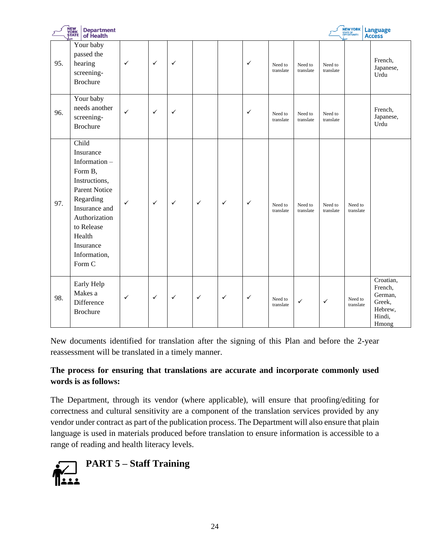|     | NEW<br>YORK<br>ȘTATE<br><b>Department</b><br>of Health                                                                                                                                               |              |              |              |              |              |              |                      |                      |                      | <b>NEW YORK</b><br>STATE OF<br>OPPORTUNITY. | <b>Language</b><br><b>Access</b>                                        |
|-----|------------------------------------------------------------------------------------------------------------------------------------------------------------------------------------------------------|--------------|--------------|--------------|--------------|--------------|--------------|----------------------|----------------------|----------------------|---------------------------------------------|-------------------------------------------------------------------------|
| 95. | Your baby<br>passed the<br>hearing<br>screening-<br><b>Brochure</b>                                                                                                                                  | $\checkmark$ | $\checkmark$ | $\checkmark$ |              |              | $\checkmark$ | Need to<br>translate | Need to<br>translate | Need to<br>translate |                                             | French,<br>Japanese,<br>Urdu                                            |
| 96. | Your baby<br>needs another<br>screening-<br><b>Brochure</b>                                                                                                                                          | $\checkmark$ | $\checkmark$ | $\checkmark$ |              |              | $\checkmark$ | Need to<br>translate | Need to<br>translate | Need to<br>translate |                                             | French,<br>Japanese,<br>Urdu                                            |
| 97. | Child<br>Insurance<br>Information-<br>Form B,<br>Instructions,<br><b>Parent Notice</b><br>Regarding<br>Insurance and<br>Authorization<br>to Release<br>Health<br>Insurance<br>Information,<br>Form C | $\checkmark$ | $\checkmark$ | $\checkmark$ | $\checkmark$ | $\checkmark$ | $\checkmark$ | Need to<br>translate | Need to<br>translate | Need to<br>translate | Need to<br>translate                        |                                                                         |
| 98. | Early Help<br>Makes a<br>Difference<br><b>Brochure</b>                                                                                                                                               | ✓            | $\checkmark$ | $\checkmark$ | $\checkmark$ | $\checkmark$ | $\checkmark$ | Need to<br>translate | $\checkmark$         | $\checkmark$         | Need to<br>translate                        | Croatian,<br>French,<br>German,<br>Greek,<br>Hebrew,<br>Hindi,<br>Hmong |

New documents identified for translation after the signing of this Plan and before the 2-year reassessment will be translated in a timely manner.

# **The process for ensuring that translations are accurate and incorporate commonly used words is as follows:**

The Department, through its vendor (where applicable), will ensure that proofing/editing for correctness and cultural sensitivity are a component of the translation services provided by any vendor under contract as part of the publication process. The Department will also ensure that plain language is used in materials produced before translation to ensure information is accessible to a range of reading and health literacy levels.

<span id="page-23-0"></span>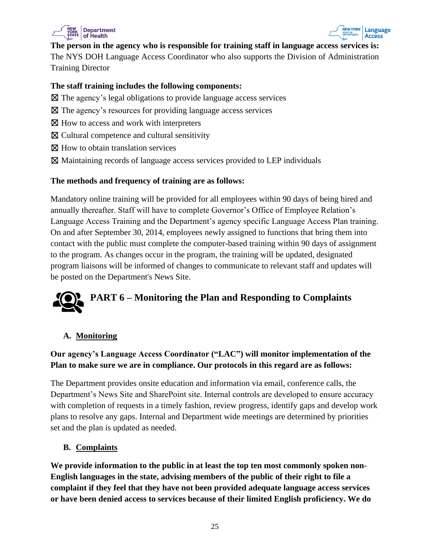



**The person in the agency who is responsible for training staff in language access services is:** The NYS DOH Language Access Coordinator who also supports the Division of Administration Training Director

#### **The staff training includes the following components:**

- ☒ The agency's legal obligations to provide language access services
- ☒ The agency's resources for providing language access services
- ⊠ How to access and work with interpreters
- ☒ Cultural competence and cultural sensitivity
- ⊠ How to obtain translation services
- ☒ Maintaining records of language access services provided to LEP individuals

#### **The methods and frequency of training are as follows:**

Mandatory online training will be provided for all employees within 90 days of being hired and annually thereafter. Staff will have to complete Governor's Office of Employee Relation's Language Access Training and the Department's agency specific Language Access Plan training. On and after September 30, 2014, employees newly assigned to functions that bring them into contact with the public must complete the computer-based training within 90 days of assignment to the program. As changes occur in the program, the training will be updated, designated program liaisons will be informed of changes to communicate to relevant staff and updates will be posted on the Department's News Site.

# <span id="page-24-0"></span>**PART 6 – Monitoring the Plan and Responding to Complaints**

# **A. Monitoring**

# **Our agency's Language Access Coordinator ("LAC") will monitor implementation of the Plan to make sure we are in compliance. Our protocols in this regard are as follows:**

The Department provides onsite education and information via email, conference calls, the Department's News Site and SharePoint site. Internal controls are developed to ensure accuracy with completion of requests in a timely fashion, review progress, identify gaps and develop work plans to resolve any gaps. Internal and Department wide meetings are determined by priorities set and the plan is updated as needed.

# **B. Complaints**

**We provide information to the public in at least the top ten most commonly spoken non-English languages in the state, advising members of the public of their right to file a complaint if they feel that they have not been provided adequate language access services or have been denied access to services because of their limited English proficiency. We do**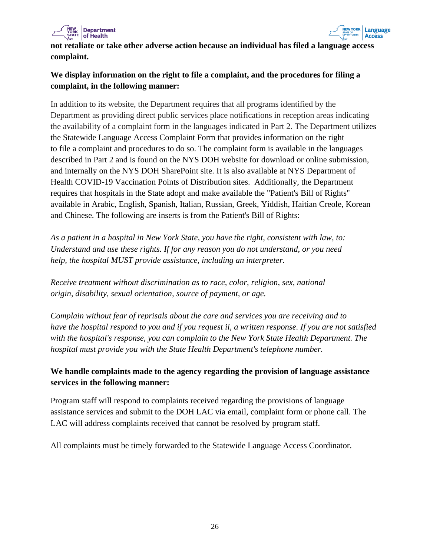



**not retaliate or take other adverse action because an individual has filed a language access complaint.** 

# **We display information on the right to file a complaint, and the procedures for filing a complaint, in the following manner:**

In addition to its website, the Department requires that all programs identified by the Department as providing direct public services place notifications in reception areas indicating the availability of a complaint form in the languages indicated in Part 2. The Department utilizes the Statewide Language Access Complaint Form that provides information on the right to file a complaint and procedures to do so. The complaint form is available in the languages described in Part 2 and is found on the NYS DOH website for download or online submission, and internally on the NYS DOH SharePoint site. It is also available at NYS Department of Health COVID-19 Vaccination Points of Distribution sites. Additionally, the Department requires that hospitals in the State adopt and make available the "Patient's Bill of Rights" available in Arabic, English, Spanish, Italian, Russian, Greek, Yiddish, Haitian Creole, Korean and Chinese. The following are inserts is from the Patient's Bill of Rights:

*As a patient in a hospital in New York State, you have the right, consistent with law, to: Understand and use these rights. If for any reason you do not understand, or you need help, the hospital MUST provide assistance, including an interpreter.*

*Receive treatment without discrimination as to race, color, religion, sex, national origin, disability, sexual orientation, source of payment, or age.*

*Complain without fear of reprisals about the care and services you are receiving and to have the hospital respond to you and if you request ii, a written response. If you are not satisfied with the hospital's response, you can complain to the New York State Health Department. The hospital must provide you with the State Health Department's telephone number.*

# **We handle complaints made to the agency regarding the provision of language assistance services in the following manner:**

Program staff will respond to complaints received regarding the provisions of language assistance services and submit to the DOH LAC via email, complaint form or phone call. The LAC will address complaints received that cannot be resolved by program staff.

<span id="page-25-0"></span>All complaints must be timely forwarded to the Statewide Language Access Coordinator.